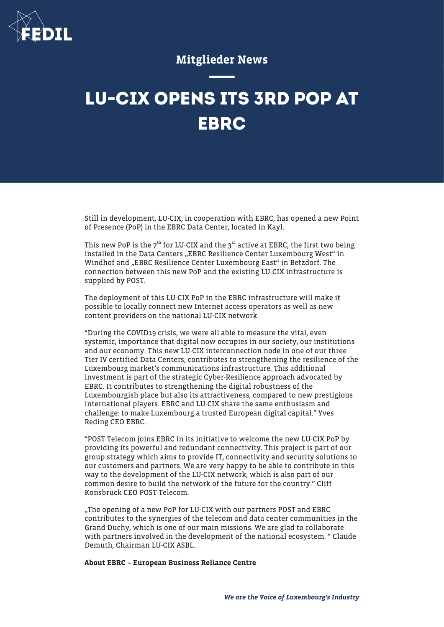

## Mitglieder News

# **LU-CIX OPENS ITS 3RD POP AT EBRC**

Still in development, LU-CIX, in cooperation with EBRC, has opened a new Point of Presence (PoP) in the EBRC Data Center, located in Kayl.

This new PoP is the  $7<sup>th</sup>$  for LU-CIX and the  $3<sup>rd</sup>$  active at EBRC, the first two being installed in the Data Centers "EBRC Resilience Center Luxembourg West" in Windhof and "EBRC Resilience Center Luxembourg East" in Betzdorf. The connection between this new PoP and the existing LU-CIX infrastructure is supplied by POST.

The deployment of this LU-CIX PoP in the EBRC infrastructure will make it possible to locally connect new Internet access operators as well as new content providers on the national LU-CIX network.

"During the COVID19 crisis, we were all able to measure the vital, even systemic, importance that digital now occupies in our society, our institutions and our economy. This new LU-CIX interconnection node in one of our three Tier IV certified Data Centers, contributes to strengthening the resilience of the Luxembourg market's communications infrastructure. This additional investment is part of the strategic Cyber-Resilience approach advocated by EBRC. It contributes to strengthening the digital robustness of the Luxembourgish place but also its attractiveness, compared to new prestigious international players. EBRC and LU-CIX share the same enthusiasm and challenge: to make Luxembourg a trusted European digital capital." Yves Reding CEO EBRC.

"POST Telecom joins EBRC in its initiative to welcome the new LU-CIX PoP by providing its powerful and redundant connectivity. This project is part of our group strategy which aims to provide IT, connectivity and security solutions to our customers and partners. We are very happy to be able to contribute in this way to the development of the LU-CIX network, which is also part of our common desire to build the network of the future for the country." Cliff Konsbruck CEO POST Telecom.

"The opening of a new PoP for LU-CIX with our partners POST and EBRC contributes to the synergies of the telecom and data center communities in the Grand Duchy, which is one of our main missions. We are glad to collaborate with partners involved in the development of the national ecosystem. " Claude Demuth, Chairman LU-CIX ASBL.

About EBRC – European Business Reliance Centre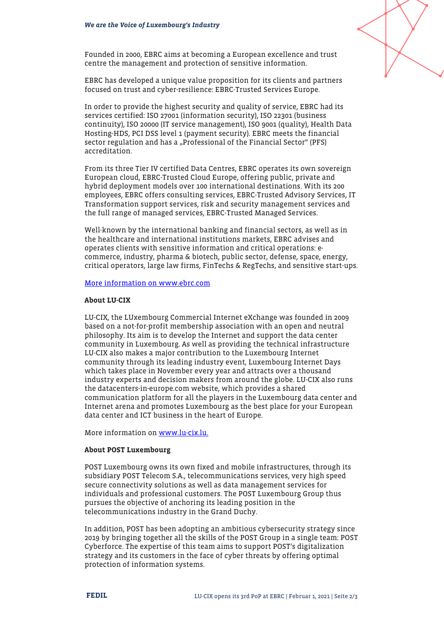

Founded in 2000, EBRC aims at becoming a European excellence and trust centre the management and protection of sensitive information.

EBRC has developed a unique value proposition for its clients and partners focused on trust and cyber-resilience: EBRC-Trusted Services Europe.

In order to provide the highest security and quality of service, EBRC had its services certified: ISO 27001 (information security), ISO 22301 (business continuity), ISO 20000 (IT service management), ISO 9001 (quality), Health Data Hosting-HDS, PCI DSS level 1 (payment security). EBRC meets the financial sector regulation and has a "Professional of the Financial Sector" (PFS) accreditation.

From its three Tier IV certified Data Centres, EBRC operates its own sovereign European cloud, EBRC-Trusted Cloud Europe, offering public, private and hybrid deployment models over 100 international destinations. With its 200 employees, EBRC offers consulting services, EBRC-Trusted Advisory Services, IT Transformation support services, risk and security management services and the full range of managed services, EBRC-Trusted Managed Services.

Well-known by the international banking and financial sectors, as well as in the healthcare and international institutions markets, EBRC advises and operates clients with sensitive information and critical operations: ecommerce, industry, pharma & biotech, public sector, defense, space, energy, critical operators, large law firms, FinTechs & RegTechs, and sensitive start-ups.

#### [More information on www.ebrc.com](http://www.ebrc.com/)

### About LU-CIX

LU-CIX, the LUxembourg Commercial Internet eXchange was founded in 2009 based on a not-for-profit membership association with an open and neutral philosophy. Its aim is to develop the Internet and support the data center community in Luxembourg. As well as providing the technical infrastructure LU-CIX also makes a major contribution to the Luxembourg Internet community through its leading industry event, Luxembourg Internet Days which takes place in November every year and attracts over a thousand industry experts and decision makers from around the globe. LU-CIX also runs the datacenters-in-europe.com website, which provides a shared communication platform for all the players in the Luxembourg data center and Internet arena and promotes Luxembourg as the best place for your European data center and ICT business in the heart of Europe.

More information on [www.lu-cix.lu.](http://www.lu-cix.lu/)

#### About POST Luxembourg

POST Luxembourg owns its own fixed and mobile infrastructures, through its subsidiary POST Telecom S.A., telecommunications services, very high speed secure connectivity solutions as well as data management services for individuals and professional customers. The POST Luxembourg Group thus pursues the objective of anchoring its leading position in the telecommunications industry in the Grand Duchy.

In addition, POST has been adopting an ambitious cybersecurity strategy since 2019 by bringing together all the skills of the POST Group in a single team: POST Cyberforce. The expertise of this team aims to support POST's digitalization strategy and its customers in the face of cyber threats by offering optimal protection of information systems.